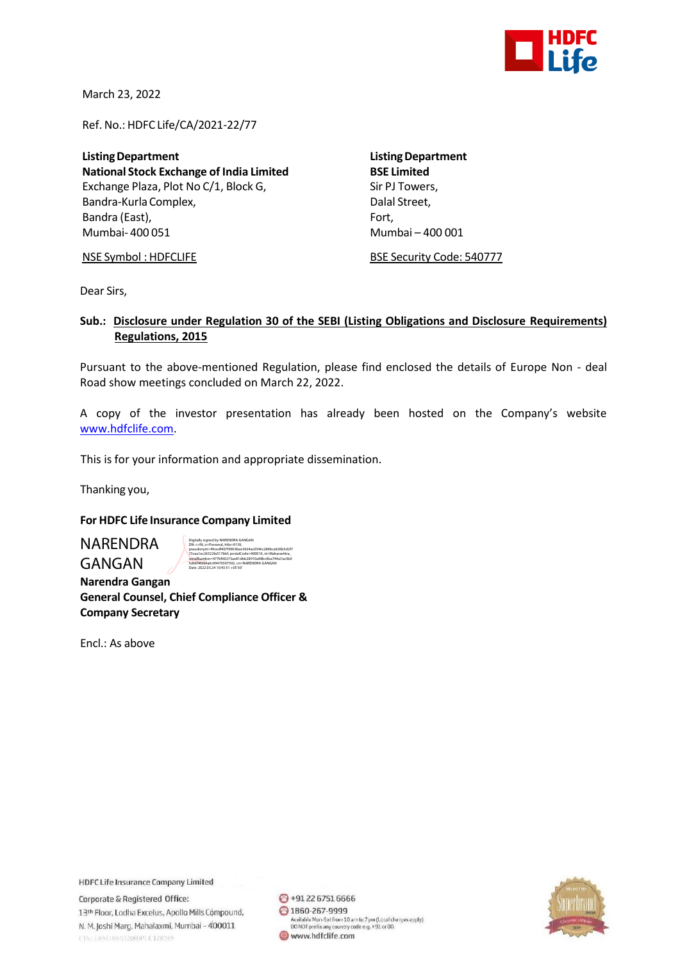

March 23, 2022

Ref. No.: HDFC Life/CA/2021-22/77

**ListingDepartment ListingDepartment National Stock Exchange of India Limited** Exchange Plaza, Plot No C/1, Block G, Sir PJ Towers, Bandra-Kurla Complex, and the complexed of the Dalal Street, Bandra (East), Fort, Fort, Fort, Fort, Fort, Fort, Fort, Fort, Fort, Fort, Fort, Fort, Fort, Fort, Fort, Fort, Mumbai- 400 051 Mumbai – 400 001

NSE Symbol : HDFCLIFE BSE Security Code: 540777

Dear Sirs,

## **Sub.: Disclosure under Regulation 30 of the SEBI (Listing Obligations and Disclosure Requirements) Regulations, 2015**

Pursuant to the above-mentioned Regulation, please find enclosed the details of Europe Non - deal Road show meetings concluded on March 22, 2022.

A copy of the investor presentation has already been hosted on the Company's website [www.hdfclife.com.](http://www.hdfclife.com/)

This is for your information and appropriate dissemination.

Thanking you,

## **For HDFC Life Insurance Company Limited**

NARENDRA GANGAN

Digitally signed by NARENDRA GANGAN DN: c=IN, o=Personal, title=9139, pseudonym=49cedf407f9963bee3624ac0546c289bca826b5d2f7 73caa1ec26522fa517bbf, postalCode=400016, st=Maharashtra, serialNumber=477bf60273ae81dbb28910a48bc6ba744a7ae3b0 5d66f4fd94a6c99479307592, cn=NARENDRA GANGAN Date: 2022.03.24 10:43:51 +05'30'

 **Narendra Gangan General Counsel, Chief Compliance Officer & Company Secretary**

Encl.: As above

**HDFC Life Insurance Company Limited** 

Corporate & Registered Office: 13th Floor, Lodha Excelus, Apollo Mills Compound, N. M. Joshi Marg, Mahalaxmi, Mumbai - 400011 CINTERSUMATIZODOPLCT28245

 $\bigodot$  +91 22 6751 6666 ◎ 1860-267-9999 Available Mon-Sat from 10 am to 7 pm (Local charges apply)<br>DO NOT prefix any country code e.g. +91 or 00. www.hdfclife.com